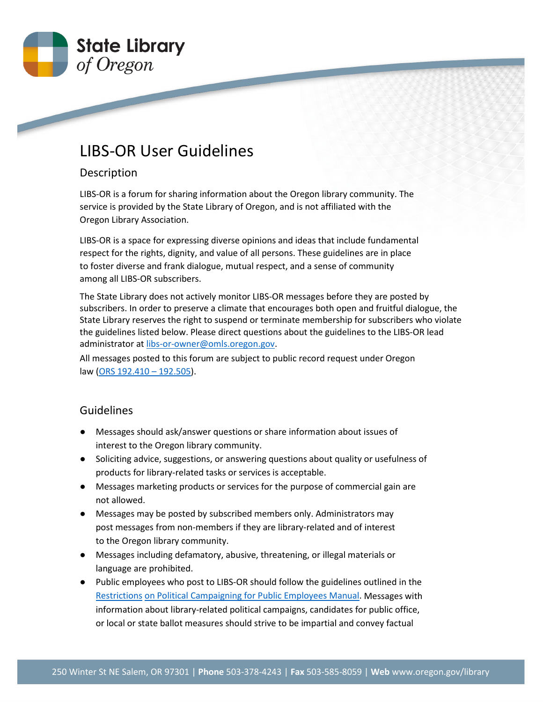

## LIBS-OR User Guidelines

## Description

LIBS-OR is a forum for sharing information about the Oregon library community. The service is provided by the State Library of Oregon, and is not affiliated with the Oregon Library Association.

LIBS-OR is a space for expressing diverse opinions and ideas that include fundamental respect for the rights, dignity, and value of all persons. These guidelines are in place to foster diverse and frank dialogue, mutual respect, and a sense of community among all LIBS-OR subscribers.

The State Library does not actively monitor LIBS-OR messages before they are posted by subscribers. In order to preserve a climate that encourages both open and fruitful dialogue, the State Library reserves the right to suspend or terminate membership for subscribers who violate the guidelines listed below. Please direct questions about the guidelines to the LIBS-OR lead administrator at [libs-or-owner@omls.oregon.gov.](mailto:libs-or-owner@omls.oregon.gov)

All messages posted to this forum are subject to public record request under Oregon law [\(ORS 192.410 –](https://www.oregonlegislature.gov/bills_laws/ors/ors192.html) 192.505).

## Guidelines

- Messages should ask/answer questions or share information about issues of interest to the Oregon library community.
- Soliciting advice, suggestions, or answering questions about quality or usefulness of products for library-related tasks or services is acceptable.
- Messages marketing products or services for the purpose of commercial gain are not allowed.
- Messages may be posted by subscribed members only. Administrators may post messages from non-members if they are library-related and of interest to the Oregon library community.
- Messages including defamatory, abusive, threatening, or illegal materials or language are prohibited.
- Public employees who post to LIBS-OR should follow the guidelines outlined in the [Restrictions](http://sos.oregon.gov/elections/Documents/restrictions.pdf) [on Political Campaigning for Public Employees Manual. M](http://sos.oregon.gov/elections/Documents/restrictions.pdf)essages with information about library-related political campaigns, candidates for public office, or local or state ballot measures should strive to be impartial and convey factual